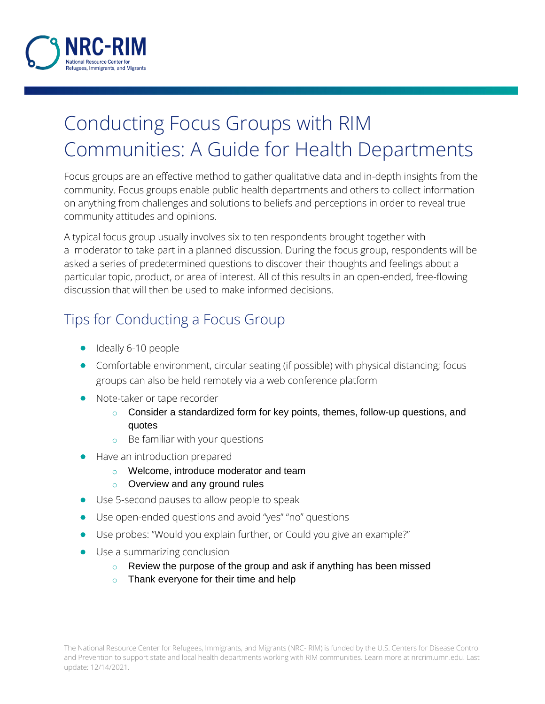

# Conducting Focus Groups with RIM Communities: A Guide for Health Departments

Focus groups are an effective method to gather qualitative data and in-depth insights from the community. Focus groups enable public health departments and others to collect information on anything from challenges and solutions to beliefs and perceptions in order to reveal true community attitudes and opinions.

A typical focus group usually involves six to ten respondents brought together with a moderator to take part in a planned discussion. During the focus group, respondents will be asked a series of predetermined questions to discover their thoughts and feelings about a particular topic, product, or area of interest. All of this results in an open-ended, free-flowing discussion that will then be used to make informed decisions.

# Tips for Conducting a Focus Group

- closed Ideally 6-10 people
- Comfortable environment, circular seating (if possible) with physical distancing; focus groups can also be held remotely via a web conference platform
- Note-taker or tape recorder
	- $\circ$  Consider a standardized form for key points, themes, follow-up questions, and quotes
	- o Be familiar with your questions
- Have an introduction prepared
	- o Welcome, introduce moderator and team
	- o Overview and any ground rules
- Use 5-second pauses to allow people to speak
- Use open-ended questions and avoid "yes" "no" questions
- Use probes: "Would you explain further, or Could you give an example?"
- Use a summarizing conclusion
	- $\circ$  Review the purpose of the group and ask if anything has been missed
	- Thank everyone for their time and help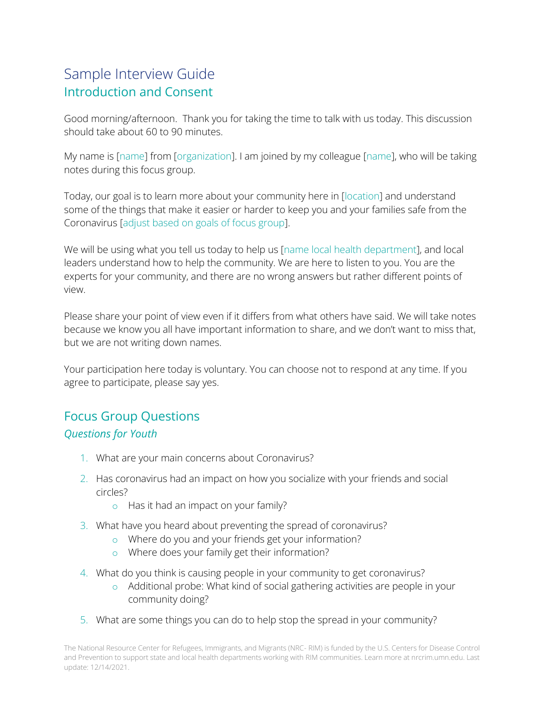## Sample Interview Guide Introduction and Consent

Good morning/afternoon. Thank you for taking the time to talk with us today. This discussion should take about 60 to 90 minutes.

My name is [name] from [organization]. I am joined by my colleague [name], who will be taking notes during this focus group.

Today, our goal is to learn more about your community here in [location] and understand some of the things that make it easier or harder to keep you and your families safe from the Coronavirus [adjust based on goals of focus group].

We will be using what you tell us today to help us [name local health department], and local leaders understand how to help the community. We are here to listen to you. You are the experts for your community, and there are no wrong answers but rather different points of view.

Please share your point of view even if it differs from what others have said. We will take notes because we know you all have important information to share, and we don't want to miss that, but we are not writing down names.

Your participation here today is voluntary. You can choose not to respond at any time. If you agree to participate, please say yes.

#### Focus Group Questions

#### *Questions for Youth*

- 1. What are your main concerns about Coronavirus?
- 2. Has coronavirus had an impact on how you socialize with your friends and social circles?
	- o Has it had an impact on your family?
- 3. What have you heard about preventing the spread of coronavirus?
	- o Where do you and your friends get your information?
	- o Where does your family get their information?
- 4. What do you think is causing people in your community to get coronavirus?
	- o Additional probe: What kind of social gathering activities are people in your community doing?
- 5. What are some things you can do to help stop the spread in your community?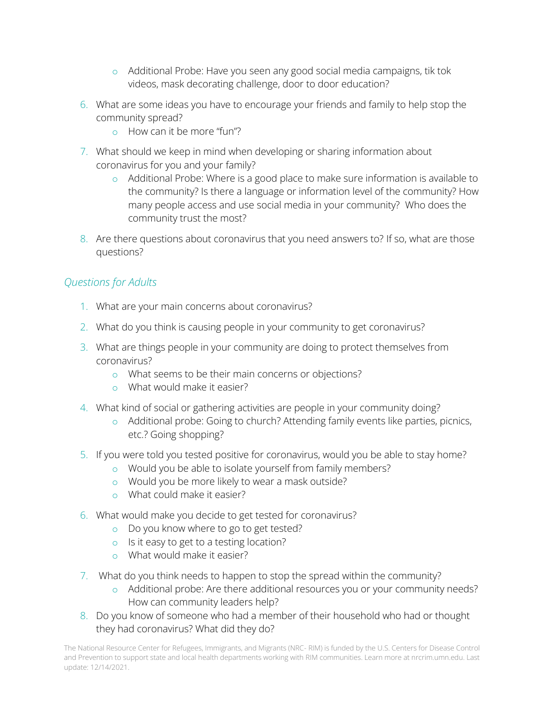- o Additional Probe: Have you seen any good social media campaigns, tik tok videos, mask decorating challenge, door to door education?
- 6. What are some ideas you have to encourage your friends and family to help stop the community spread?
	- o How can it be more "fun"?
- 7. What should we keep in mind when developing or sharing information about coronavirus for you and your family?
	- o Additional Probe: Where is a good place to make sure information is available to the community? Is there a language or information level of the community? How many people access and use social media in your community? Who does the community trust the most?
- 8. Are there questions about coronavirus that you need answers to? If so, what are those questions?

#### *Questions for Adults*

- 1. What are your main concerns about coronavirus?
- 2. What do you think is causing people in your community to get coronavirus?
- 3. What are things people in your community are doing to protect themselves from coronavirus?
	- o What seems to be their main concerns or objections?
	- o What would make it easier?
- 4. What kind of social or gathering activities are people in your community doing?
	- o Additional probe: Going to church? Attending family events like parties, picnics, etc.? Going shopping?
- 5. If you were told you tested positive for coronavirus, would you be able to stay home?
	- o Would you be able to isolate yourself from family members?
	- o Would you be more likely to wear a mask outside?
	- o What could make it easier?
- 6. What would make you decide to get tested for coronavirus?
	- o Do you know where to go to get tested?
	- o Is it easy to get to a testing location?
	- o What would make it easier?
- 7. What do you think needs to happen to stop the spread within the community?
	- o Additional probe: Are there additional resources you or your community needs? How can community leaders help?
- 8. Do you know of someone who had a member of their household who had or thought they had coronavirus? What did they do?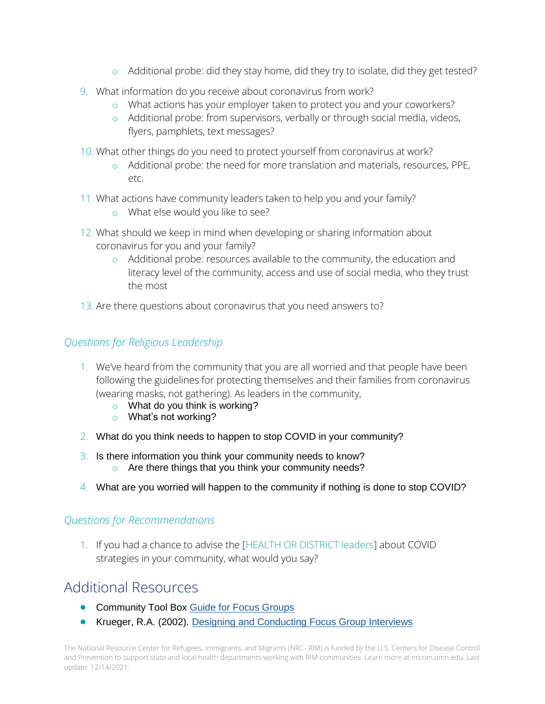- o Additional probe: did they stay home, did they try to isolate, did they get tested?
- 9. What information do you receive about coronavirus from work?
	- o What actions has your employer taken to protect you and your coworkers?
	- o Additional probe: from supervisors, verbally or through social media, videos, flyers, pamphlets, text messages?
- 10. What other things do you need to protect yourself from coronavirus at work?
	- o Additional probe: the need for more translation and materials, resources, PPE, etc.
- 11. What actions have community leaders taken to help you and your family?
	- o What else would you like to see?
- 12. What should we keep in mind when developing or sharing information about coronavirus for you and your family?
	- o Additional probe: resources available to the community, the education and literacy level of the community, access and use of social media, who they trust the most
- 13. Are there questions about coronavirus that you need answers to?

#### *Questions for Religious Leadership*

- 1. We've heard from the community that you are all worried and that people have been following the guidelines for protecting themselves and their families from coronavirus (wearing masks, not gathering). As leaders in the community,
	- o What do you think is working?
	- o What's not working?
- 2. What do you think needs to happen to stop COVID in your community?
- 3. Is there information you think your community needs to know? o Are there things that you think your community needs?
- 4. What are you worried will happen to the community if nothing is done to stop COVID?

#### *Questions for Recommendations*

1. If you had a chance to advise the [HEALTH OR DISTRICT leaders] about COVID strategies in your community, what would you say?

## Additional Resources

- **Community Tool Box [Guide for Focus Groups](https://ctb.ku.edu/en/table-of-contents/assessment/assessing-community-needs-and-resources/conduct-focus-groups/main)**
- Krueger, R.A. (2002). [Designing and Conducting Focus Group Interviews](http://www.eiu.edu/~ihec/Krueger-FocusGroupInterviews.pdf)